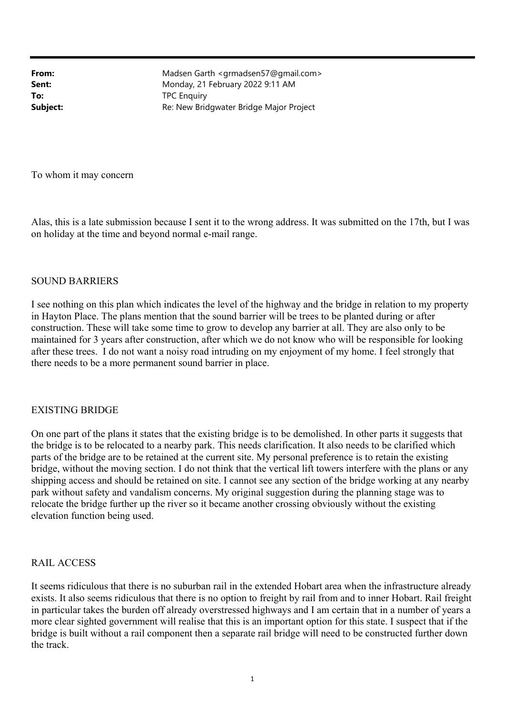**From:** Madsen Garth <grmadsen57@gmail.com> **Sent:** Monday, 21 February 2022 9:11 AM To: TPC Enquiry **Subject:** Re: New Bridgwater Bridge Major Project

To whom it may concern

Alas, this is a late submission because I sent it to the wrong address. It was submitted on the 17th, but I was on holiday at the time and beyond normal e-mail range.

## SOUND BARRIERS

I see nothing on this plan which indicates the level of the highway and the bridge in relation to my property in Hayton Place. The plans mention that the sound barrier will be trees to be planted during or after construction. These will take some time to grow to develop any barrier at all. They are also only to be maintained for 3 years after construction, after which we do not know who will be responsible for looking after these trees. I do not want a noisy road intruding on my enjoyment of my home. I feel strongly that there needs to be a more permanent sound barrier in place.

## EXISTING BRIDGE

On one part of the plans it states that the existing bridge is to be demolished. In other parts it suggests that the bridge is to be relocated to a nearby park. This needs clarification. It also needs to be clarified which parts of the bridge are to be retained at the current site. My personal preference is to retain the existing bridge, without the moving section. I do not think that the vertical lift towers interfere with the plans or any shipping access and should be retained on site. I cannot see any section of the bridge working at any nearby park without safety and vandalism concerns. My original suggestion during the planning stage was to relocate the bridge further up the river so it became another crossing obviously without the existing elevation function being used.

## RAIL ACCESS

It seems ridiculous that there is no suburban rail in the extended Hobart area when the infrastructure already exists. It also seems ridiculous that there is no option to freight by rail from and to inner Hobart. Rail freight in particular takes the burden off already overstressed highways and I am certain that in a number of years a more clear sighted government will realise that this is an important option for this state. I suspect that if the bridge is built without a rail component then a separate rail bridge will need to be constructed further down the track.